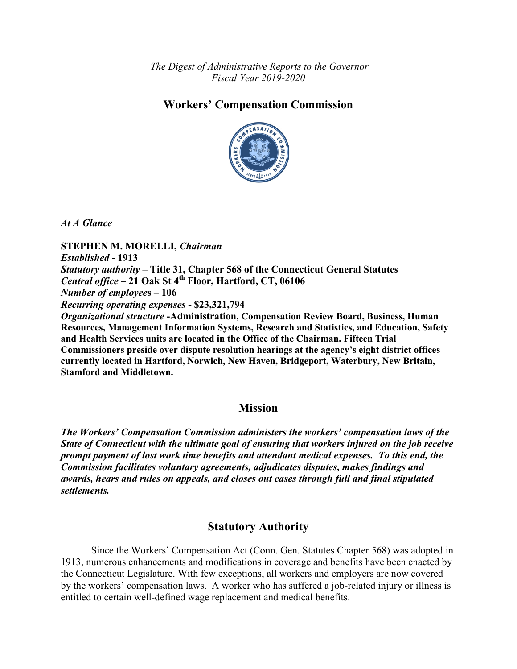*The Digest of Administrative Reports to the Governor Fiscal Year 2019-2020*

# **Workers' Compensation Commission**



*At A Glance*

**STEPHEN M. MORELLI,** *Chairman Established* **- 1913** *Statutory authority* **– Title 31, Chapter 568 of the Connecticut General Statutes**  *Central office* **– 21 Oak St 4th Floor, Hartford, CT, 06106** *Number of employee***s – 106** *Recurring operating expenses* **- \$23,321,794** *Organizational structure* **-Administration, Compensation Review Board, Business, Human Resources, Management Information Systems, Research and Statistics, and Education, Safety and Health Services units are located in the Office of the Chairman. Fifteen Trial Commissioners preside over dispute resolution hearings at the agency's eight district offices currently located in Hartford, Norwich, New Haven, Bridgeport, Waterbury, New Britain, Stamford and Middletown.**

## **Mission**

*The Workers' Compensation Commission administers the workers' compensation laws of the State of Connecticut with the ultimate goal of ensuring that workers injured on the job receive prompt payment of lost work time benefits and attendant medical expenses. To this end, the Commission facilitates voluntary agreements, adjudicates disputes, makes findings and awards, hears and rules on appeals, and closes out cases through full and final stipulated settlements.*

# **Statutory Authority**

Since the Workers' Compensation Act (Conn. Gen. Statutes Chapter 568) was adopted in 1913, numerous enhancements and modifications in coverage and benefits have been enacted by the Connecticut Legislature. With few exceptions, all workers and employers are now covered by the workers' compensation laws. A worker who has suffered a job-related injury or illness is entitled to certain well-defined wage replacement and medical benefits.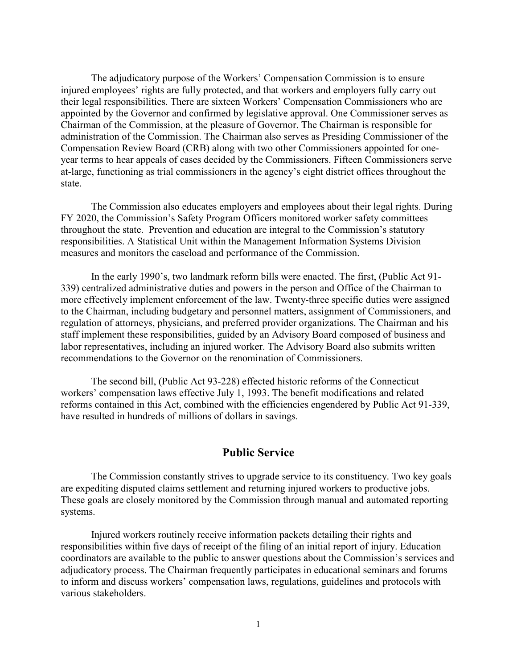The adjudicatory purpose of the Workers' Compensation Commission is to ensure injured employees' rights are fully protected, and that workers and employers fully carry out their legal responsibilities. There are sixteen Workers' Compensation Commissioners who are appointed by the Governor and confirmed by legislative approval. One Commissioner serves as Chairman of the Commission, at the pleasure of Governor. The Chairman is responsible for administration of the Commission. The Chairman also serves as Presiding Commissioner of the Compensation Review Board (CRB) along with two other Commissioners appointed for oneyear terms to hear appeals of cases decided by the Commissioners. Fifteen Commissioners serve at-large, functioning as trial commissioners in the agency's eight district offices throughout the state.

The Commission also educates employers and employees about their legal rights. During FY 2020, the Commission's Safety Program Officers monitored worker safety committees throughout the state. Prevention and education are integral to the Commission's statutory responsibilities. A Statistical Unit within the Management Information Systems Division measures and monitors the caseload and performance of the Commission.

In the early 1990's, two landmark reform bills were enacted. The first, (Public Act 91- 339) centralized administrative duties and powers in the person and Office of the Chairman to more effectively implement enforcement of the law. Twenty-three specific duties were assigned to the Chairman, including budgetary and personnel matters, assignment of Commissioners, and regulation of attorneys, physicians, and preferred provider organizations. The Chairman and his staff implement these responsibilities, guided by an Advisory Board composed of business and labor representatives, including an injured worker. The Advisory Board also submits written recommendations to the Governor on the renomination of Commissioners.

The second bill, (Public Act 93-228) effected historic reforms of the Connecticut workers' compensation laws effective July 1, 1993. The benefit modifications and related reforms contained in this Act, combined with the efficiencies engendered by Public Act 91-339, have resulted in hundreds of millions of dollars in savings.

### **Public Service**

The Commission constantly strives to upgrade service to its constituency. Two key goals are expediting disputed claims settlement and returning injured workers to productive jobs. These goals are closely monitored by the Commission through manual and automated reporting systems.

Injured workers routinely receive information packets detailing their rights and responsibilities within five days of receipt of the filing of an initial report of injury. Education coordinators are available to the public to answer questions about the Commission's services and adjudicatory process. The Chairman frequently participates in educational seminars and forums to inform and discuss workers' compensation laws, regulations, guidelines and protocols with various stakeholders.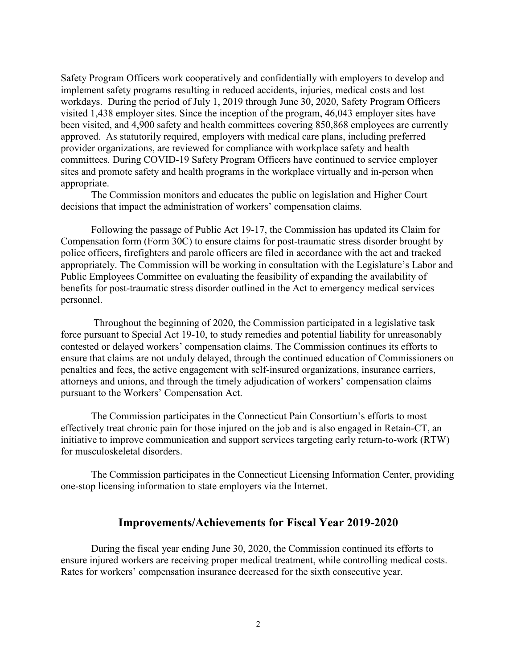Safety Program Officers work cooperatively and confidentially with employers to develop and implement safety programs resulting in reduced accidents, injuries, medical costs and lost workdays. During the period of July 1, 2019 through June 30, 2020, Safety Program Officers visited 1,438 employer sites. Since the inception of the program, 46,043 employer sites have been visited, and 4,900 safety and health committees covering 850,868 employees are currently approved. As statutorily required, employers with medical care plans, including preferred provider organizations, are reviewed for compliance with workplace safety and health committees. During COVID-19 Safety Program Officers have continued to service employer sites and promote safety and health programs in the workplace virtually and in-person when appropriate.

The Commission monitors and educates the public on legislation and Higher Court decisions that impact the administration of workers' compensation claims.

Following the passage of Public Act 19-17, the Commission has updated its Claim for Compensation form (Form 30C) to ensure claims for post-traumatic stress disorder brought by police officers, firefighters and parole officers are filed in accordance with the act and tracked appropriately. The Commission will be working in consultation with the Legislature's Labor and Public Employees Committee on evaluating the feasibility of expanding the availability of benefits for post-traumatic stress disorder outlined in the Act to emergency medical services personnel.

Throughout the beginning of 2020, the Commission participated in a legislative task force pursuant to Special Act 19-10, to study remedies and potential liability for unreasonably contested or delayed workers' compensation claims. The Commission continues its efforts to ensure that claims are not unduly delayed, through the continued education of Commissioners on penalties and fees, the active engagement with self-insured organizations, insurance carriers, attorneys and unions, and through the timely adjudication of workers' compensation claims pursuant to the Workers' Compensation Act.

The Commission participates in the Connecticut Pain Consortium's efforts to most effectively treat chronic pain for those injured on the job and is also engaged in Retain-CT, an initiative to improve communication and support services targeting early return-to-work (RTW) for musculoskeletal disorders.

The Commission participates in the Connecticut Licensing Information Center, providing one-stop licensing information to state employers via the Internet.

#### **Improvements/Achievements for Fiscal Year 2019-2020**

During the fiscal year ending June 30, 2020, the Commission continued its efforts to ensure injured workers are receiving proper medical treatment, while controlling medical costs. Rates for workers' compensation insurance decreased for the sixth consecutive year.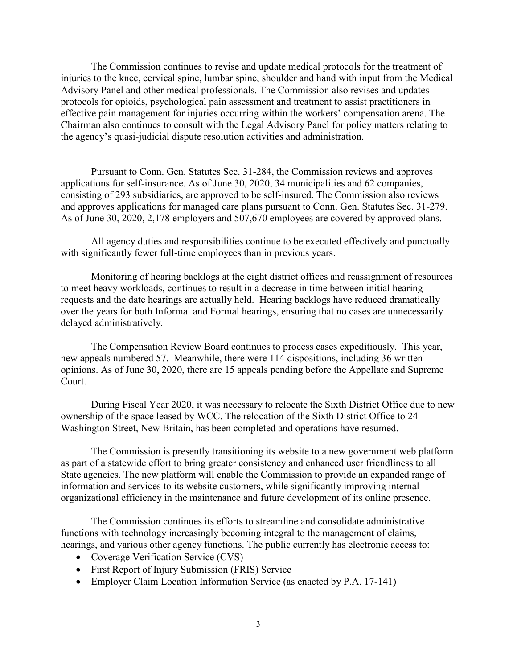The Commission continues to revise and update medical protocols for the treatment of injuries to the knee, cervical spine, lumbar spine, shoulder and hand with input from the Medical Advisory Panel and other medical professionals. The Commission also revises and updates protocols for opioids, psychological pain assessment and treatment to assist practitioners in effective pain management for injuries occurring within the workers' compensation arena. The Chairman also continues to consult with the Legal Advisory Panel for policy matters relating to the agency's quasi-judicial dispute resolution activities and administration.

Pursuant to Conn. Gen. Statutes Sec. 31-284, the Commission reviews and approves applications for self-insurance. As of June 30, 2020, 34 municipalities and 62 companies, consisting of 293 subsidiaries, are approved to be self-insured. The Commission also reviews and approves applications for managed care plans pursuant to Conn. Gen. Statutes Sec. 31-279. As of June 30, 2020, 2,178 employers and 507,670 employees are covered by approved plans.

All agency duties and responsibilities continue to be executed effectively and punctually with significantly fewer full-time employees than in previous years.

Monitoring of hearing backlogs at the eight district offices and reassignment of resources to meet heavy workloads, continues to result in a decrease in time between initial hearing requests and the date hearings are actually held. Hearing backlogs have reduced dramatically over the years for both Informal and Formal hearings, ensuring that no cases are unnecessarily delayed administratively.

The Compensation Review Board continues to process cases expeditiously. This year, new appeals numbered 57. Meanwhile, there were 114 dispositions, including 36 written opinions. As of June 30, 2020, there are 15 appeals pending before the Appellate and Supreme Court.

During Fiscal Year 2020, it was necessary to relocate the Sixth District Office due to new ownership of the space leased by WCC. The relocation of the Sixth District Office to 24 Washington Street, New Britain, has been completed and operations have resumed.

The Commission is presently transitioning its website to a new government web platform as part of a statewide effort to bring greater consistency and enhanced user friendliness to all State agencies. The new platform will enable the Commission to provide an expanded range of information and services to its website customers, while significantly improving internal organizational efficiency in the maintenance and future development of its online presence.

The Commission continues its efforts to streamline and consolidate administrative functions with technology increasingly becoming integral to the management of claims, hearings, and various other agency functions. The public currently has electronic access to:

- Coverage Verification Service (CVS)
- First Report of Injury Submission (FRIS) Service
- Employer Claim Location Information Service (as enacted by P.A. 17-141)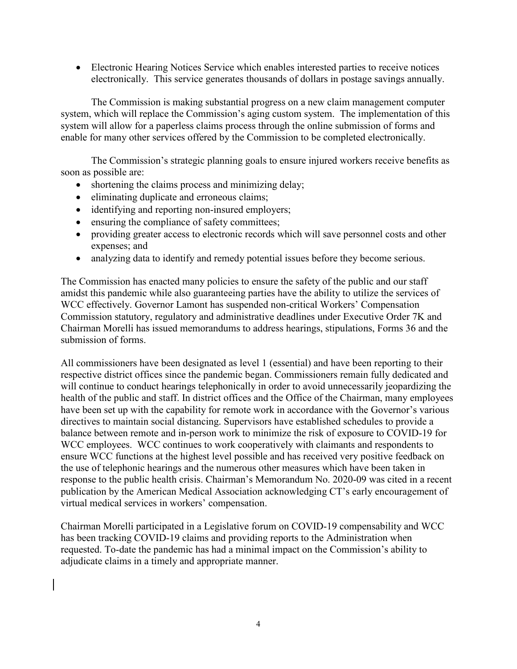• Electronic Hearing Notices Service which enables interested parties to receive notices electronically. This service generates thousands of dollars in postage savings annually.

The Commission is making substantial progress on a new claim management computer system, which will replace the Commission's aging custom system. The implementation of this system will allow for a paperless claims process through the online submission of forms and enable for many other services offered by the Commission to be completed electronically.

The Commission's strategic planning goals to ensure injured workers receive benefits as soon as possible are:

- shortening the claims process and minimizing delay;
- eliminating duplicate and erroneous claims;
- identifying and reporting non-insured employers;
- ensuring the compliance of safety committees;
- providing greater access to electronic records which will save personnel costs and other expenses; and
- analyzing data to identify and remedy potential issues before they become serious.

The Commission has enacted many policies to ensure the safety of the public and our staff amidst this pandemic while also guaranteeing parties have the ability to utilize the services of WCC effectively. Governor Lamont has suspended non-critical Workers' Compensation Commission statutory, regulatory and administrative deadlines under Executive Order 7K and Chairman Morelli has issued memorandums to address hearings, stipulations, Forms 36 and the submission of forms.

All commissioners have been designated as level 1 (essential) and have been reporting to their respective district offices since the pandemic began. Commissioners remain fully dedicated and will continue to conduct hearings telephonically in order to avoid unnecessarily jeopardizing the health of the public and staff. In district offices and the Office of the Chairman, many employees have been set up with the capability for remote work in accordance with the Governor's various directives to maintain social distancing. Supervisors have established schedules to provide a balance between remote and in-person work to minimize the risk of exposure to COVID-19 for WCC employees. WCC continues to work cooperatively with claimants and respondents to ensure WCC functions at the highest level possible and has received very positive feedback on the use of telephonic hearings and the numerous other measures which have been taken in response to the public health crisis. Chairman's Memorandum No. 2020-09 was cited in a recent publication by the American Medical Association acknowledging CT's early encouragement of virtual medical services in workers' compensation.

Chairman Morelli participated in a Legislative forum on COVID-19 compensability and WCC has been tracking COVID-19 claims and providing reports to the Administration when requested. To-date the pandemic has had a minimal impact on the Commission's ability to adjudicate claims in a timely and appropriate manner.